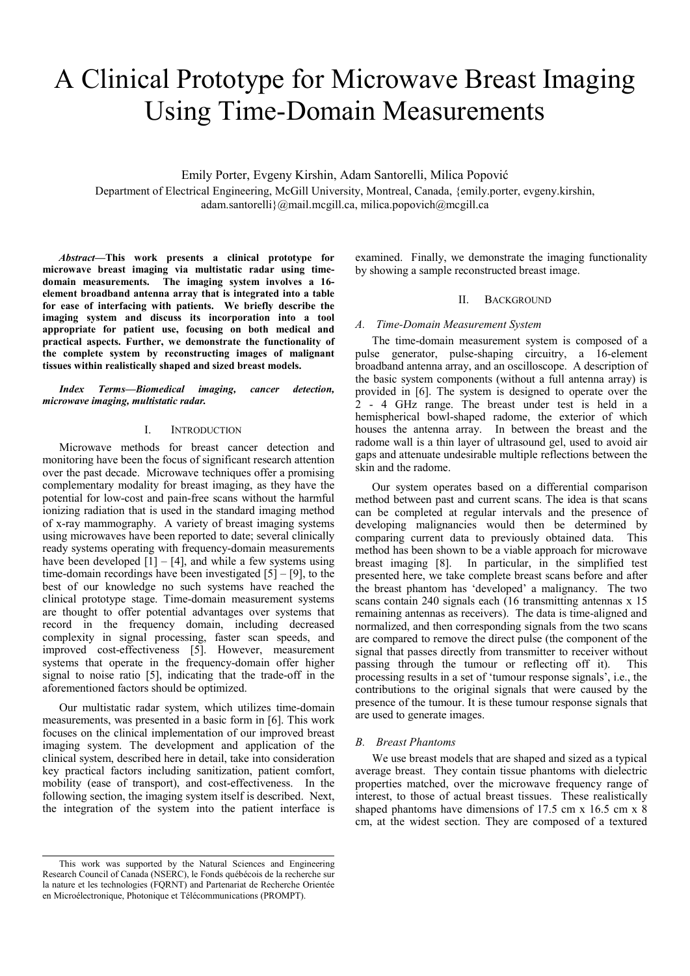# A Clinical Prototype for Microwave Breast Imaging Using Time-Domain Measurements

Emily Porter, Evgeny Kirshin, Adam Santorelli, Milica Popović

Department of Electrical Engineering, McGill University, Montreal, Canada, {emily.porter, evgeny.kirshin, adam.santorelli}@mail.mcgill.ca, milica.popovich@mcgill.ca

*Abstract***—This work presents a clinical prototype for microwave breast imaging via multistatic radar using timedomain measurements. The imaging system involves a 16 element broadband antenna array that is integrated into a table for ease of interfacing with patients. We briefly describe the imaging system and discuss its incorporation into a tool appropriate for patient use, focusing on both medical and practical aspects. Further, we demonstrate the functionality of the complete system by reconstructing images of malignant tissues within realistically shaped and sized breast models.** 

*Index Terms—Biomedical imaging, cancer detection, microwave imaging, multistatic radar.* 

## I. INTRODUCTION

Microwave methods for breast cancer detection and monitoring have been the focus of significant research attention over the past decade. Microwave techniques offer a promising complementary modality for breast imaging, as they have the potential for low-cost and pain-free scans without the harmful ionizing radiation that is used in the standard imaging method of x-ray mammography. A variety of breast imaging systems using microwaves have been reported to date; several clinically ready systems operating with frequency-domain measurements have been developed  $[1] - [4]$ , and while a few systems using time-domain recordings have been investigated [5] – [9], to the best of our knowledge no such systems have reached the clinical prototype stage. Time-domain measurement systems are thought to offer potential advantages over systems that record in the frequency domain, including decreased complexity in signal processing, faster scan speeds, and improved cost-effectiveness [5]. However, measurement systems that operate in the frequency-domain offer higher signal to noise ratio [5], indicating that the trade-off in the aforementioned factors should be optimized.

Our multistatic radar system, which utilizes time-domain measurements, was presented in a basic form in [6]. This work focuses on the clinical implementation of our improved breast imaging system. The development and application of the clinical system, described here in detail, take into consideration key practical factors including sanitization, patient comfort, mobility (ease of transport), and cost-effectiveness. In the following section, the imaging system itself is described. Next, the integration of the system into the patient interface is

examined. Finally, we demonstrate the imaging functionality by showing a sample reconstructed breast image.

## II. BACKGROUND

## *A. Time-Domain Measurement System*

The time-domain measurement system is composed of a pulse generator, pulse-shaping circuitry, a 16-element broadband antenna array, and an oscilloscope. A description of the basic system components (without a full antenna array) is provided in [6]. The system is designed to operate over the 2 - 4 GHz range. The breast under test is held in a hemispherical bowl-shaped radome, the exterior of which houses the antenna array. In between the breast and the radome wall is a thin layer of ultrasound gel, used to avoid air gaps and attenuate undesirable multiple reflections between the skin and the radome.

Our system operates based on a differential comparison method between past and current scans. The idea is that scans can be completed at regular intervals and the presence of developing malignancies would then be determined by comparing current data to previously obtained data. This method has been shown to be a viable approach for microwave breast imaging [8]. In particular, in the simplified test presented here, we take complete breast scans before and after the breast phantom has 'developed' a malignancy. The two scans contain 240 signals each (16 transmitting antennas x 15 remaining antennas as receivers). The data is time-aligned and normalized, and then corresponding signals from the two scans are compared to remove the direct pulse (the component of the signal that passes directly from transmitter to receiver without passing through the tumour or reflecting off it). This processing results in a set of 'tumour response signals', i.e., the contributions to the original signals that were caused by the presence of the tumour. It is these tumour response signals that are used to generate images.

#### *B. Breast Phantoms*

We use breast models that are shaped and sized as a typical average breast. They contain tissue phantoms with dielectric properties matched, over the microwave frequency range of interest, to those of actual breast tissues. These realistically shaped phantoms have dimensions of 17.5 cm x 16.5 cm x 8 cm, at the widest section. They are composed of a textured

This work was supported by the Natural Sciences and Engineering Research Council of Canada (NSERC), le Fonds québécois de la recherche sur la nature et les technologies (FQRNT) and Partenariat de Recherche Orientée en Microélectronique, Photonique et Télécommunications (PROMPT).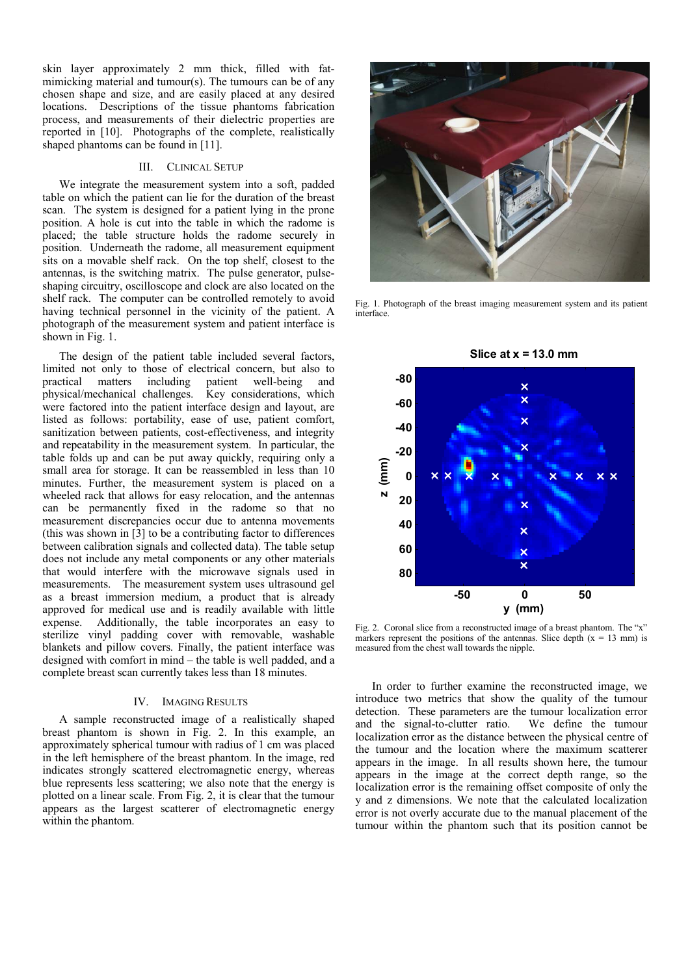skin layer approximately 2 mm thick, filled with fatmimicking material and tumour(s). The tumours can be of any chosen shape and size, and are easily placed at any desired locations. Descriptions of the tissue phantoms fabrication process, and measurements of their dielectric properties are reported in [10]. Photographs of the complete, realistically shaped phantoms can be found in [11].

## III. CLINICAL SETUP

We integrate the measurement system into a soft, padded table on which the patient can lie for the duration of the breast scan. The system is designed for a patient lying in the prone position. A hole is cut into the table in which the radome is placed; the table structure holds the radome securely in position. Underneath the radome, all measurement equipment sits on a movable shelf rack. On the top shelf, closest to the antennas, is the switching matrix. The pulse generator, pulseshaping circuitry, oscilloscope and clock are also located on the shelf rack. The computer can be controlled remotely to avoid having technical personnel in the vicinity of the patient. A photograph of the measurement system and patient interface is shown in Fig. 1.

The design of the patient table included several factors, limited not only to those of electrical concern, but also to practical matters including patient well-being and physical/mechanical challenges. Key considerations, which were factored into the patient interface design and layout, are listed as follows: portability, ease of use, patient comfort, sanitization between patients, cost-effectiveness, and integrity and repeatability in the measurement system. In particular, the table folds up and can be put away quickly, requiring only a small area for storage. It can be reassembled in less than 10 minutes. Further, the measurement system is placed on a wheeled rack that allows for easy relocation, and the antennas can be permanently fixed in the radome so that no measurement discrepancies occur due to antenna movements (this was shown in [3] to be a contributing factor to differences between calibration signals and collected data). The table setup does not include any metal components or any other materials that would interfere with the microwave signals used in measurements. The measurement system uses ultrasound gel as a breast immersion medium, a product that is already approved for medical use and is readily available with little expense. Additionally, the table incorporates an easy to sterilize vinyl padding cover with removable, washable blankets and pillow covers. Finally, the patient interface was designed with comfort in mind – the table is well padded, and a complete breast scan currently takes less than 18 minutes.

## IV. IMAGING RESULTS

A sample reconstructed image of a realistically shaped breast phantom is shown in Fig. 2. In this example, an approximately spherical tumour with radius of 1 cm was placed in the left hemisphere of the breast phantom. In the image, red indicates strongly scattered electromagnetic energy, whereas blue represents less scattering; we also note that the energy is plotted on a linear scale. From Fig. 2, it is clear that the tumour appears as the largest scatterer of electromagnetic energy within the phantom.



Fig. 1. Photograph of the breast imaging measurement system and its patient interface.



Fig. 2. Coronal slice from a reconstructed image of a breast phantom. The "x" markers represent the positions of the antennas. Slice depth  $(x = 13 \text{ mm})$  is measured from the chest wall towards the nipple.

In order to further examine the reconstructed image, we introduce two metrics that show the quality of the tumour detection. These parameters are the tumour localization error and the signal-to-clutter ratio. We define the tumour localization error as the distance between the physical centre of the tumour and the location where the maximum scatterer appears in the image. In all results shown here, the tumour appears in the image at the correct depth range, so the localization error is the remaining offset composite of only the y and z dimensions. We note that the calculated localization error is not overly accurate due to the manual placement of the tumour within the phantom such that its position cannot be